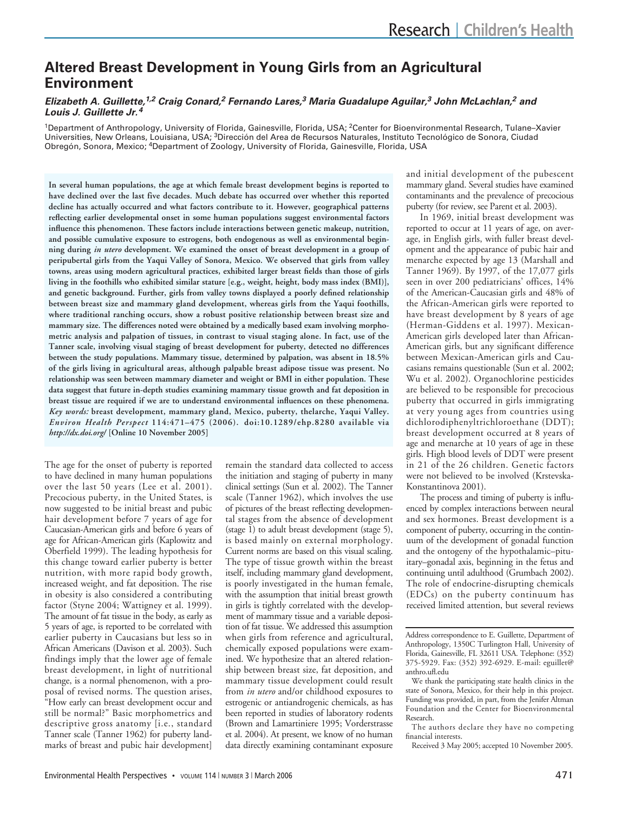# **Altered Breast Development in Young Girls from an Agricultural Environment**

## **Elizabeth A. Guillette,1,2 Craig Conard,<sup>2</sup> Fernando Lares,<sup>3</sup> Maria Guadalupe Aguilar,<sup>3</sup> John McLachlan,<sup>2</sup> and Louis J. Guillette Jr.<sup>4</sup>**

1Department of Anthropology, University of Florida, Gainesville, Florida, USA; 2Center for Bioenvironmental Research, Tulane–Xavier Universities, New Orleans, Louisiana, USA; 3Dirección del Area de Recursos Naturales, Instituto Tecnológico de Sonora, Ciudad Obregón, Sonora, Mexico; 4Department of Zoology, University of Florida, Gainesville, Florida, USA

**In several human populations, the age at which female breast development begins is reported to have declined over the last five decades. Much debate has occurred over whether this reported decline has actually occurred and what factors contribute to it. However, geographical patterns reflecting earlier developmental onset in some human populations suggest environmental factors influence this phenomenon. These factors include interactions between genetic makeup, nutrition, and possible cumulative exposure to estrogens, both endogenous as well as environmental beginning during** *in utero* **development. We examined the onset of breast development in a group of peripubertal girls from the Yaqui Valley of Sonora, Mexico. We observed that girls from valley towns, areas using modern agricultural practices, exhibited larger breast fields than those of girls living in the foothills who exhibited similar stature [e.g., weight, height, body mass index (BMI)], and genetic background. Further, girls from valley towns displayed a poorly defined relationship between breast size and mammary gland development, whereas girls from the Yaqui foothills, where traditional ranching occurs, show a robust positive relationship between breast size and mammary size. The differences noted were obtained by a medically based exam involving morphometric analysis and palpation of tissues, in contrast to visual staging alone. In fact, use of the Tanner scale, involving visual staging of breast development for puberty, detected no differences between the study populations. Mammary tissue, determined by palpation, was absent in 18.5% of the girls living in agricultural areas, although palpable breast adipose tissue was present. No relationship was seen between mammary diameter and weight or BMI in either population. These data suggest that future in-depth studies examining mammary tissue growth and fat deposition in breast tissue are required if we are to understand environmental influences on these phenomena.** *Key words:* **breast development, mammary gland, Mexico, puberty, thelarche, Yaqui Valley.** *Environ Health Perspect* **114:471–475 (2006). doi:10.1289/ehp.8280 available via** *http://dx.doi.org/* **[Online 10 November 2005]**

The age for the onset of puberty is reported to have declined in many human populations over the last 50 years (Lee et al. 2001). Precocious puberty, in the United States, is now suggested to be initial breast and pubic hair development before 7 years of age for Caucasian-American girls and before 6 years of age for African-American girls (Kaplowitz and Oberfield 1999). The leading hypothesis for this change toward earlier puberty is better nutrition, with more rapid body growth, increased weight, and fat deposition. The rise in obesity is also considered a contributing factor (Styne 2004; Wattigney et al. 1999). The amount of fat tissue in the body, as early as 5 years of age, is reported to be correlated with earlier puberty in Caucasians but less so in African Americans (Davison et al. 2003). Such findings imply that the lower age of female breast development, in light of nutritional change, is a normal phenomenon, with a proposal of revised norms. The question arises, "How early can breast development occur and still be normal?" Basic morphometrics and descriptive gross anatomy [i.e., standard Tanner scale (Tanner 1962) for puberty landmarks of breast and pubic hair development]

remain the standard data collected to access the initiation and staging of puberty in many clinical settings (Sun et al. 2002). The Tanner scale (Tanner 1962), which involves the use of pictures of the breast reflecting developmental stages from the absence of development (stage 1) to adult breast development (stage 5), is based mainly on external morphology. Current norms are based on this visual scaling. The type of tissue growth within the breast itself, including mammary gland development, is poorly investigated in the human female, with the assumption that initial breast growth in girls is tightly correlated with the development of mammary tissue and a variable deposition of fat tissue. We addressed this assumption when girls from reference and agricultural, chemically exposed populations were examined. We hypothesize that an altered relationship between breast size, fat deposition, and mammary tissue development could result from *in utero* and/or childhood exposures to estrogenic or antiandrogenic chemicals, as has been reported in studies of laboratory rodents (Brown and Lamartiniere 1995; Vorderstrasse et al. 2004). At present, we know of no human data directly examining contaminant exposure

and initial development of the pubescent mammary gland. Several studies have examined contaminants and the prevalence of precocious puberty (for review, see Parent et al. 2003).

In 1969, initial breast development was reported to occur at 11 years of age, on average, in English girls, with fuller breast development and the appearance of pubic hair and menarche expected by age 13 (Marshall and Tanner 1969). By 1997, of the 17,077 girls seen in over 200 pediatricians' offices, 14% of the American-Caucasian girls and 48% of the African-American girls were reported to have breast development by 8 years of age (Herman-Giddens et al. 1997). Mexican-American girls developed later than African-American girls, but any significant difference between Mexican-American girls and Caucasians remains questionable (Sun et al. 2002; Wu et al. 2002). Organochlorine pesticides are believed to be responsible for precocious puberty that occurred in girls immigrating at very young ages from countries using dichlorodiphenyltrichloroethane (DDT); breast development occurred at 8 years of age and menarche at 10 years of age in these girls. High blood levels of DDT were present in 21 of the 26 children. Genetic factors were not believed to be involved (Krstevska-Konstantinova 2001).

The process and timing of puberty is influenced by complex interactions between neural and sex hormones. Breast development is a component of puberty, occurring in the continuum of the development of gonadal function and the ontogeny of the hypothalamic–pituitary–gonadal axis, beginning in the fetus and continuing until adulthood (Grumbach 2002). The role of endocrine-disrupting chemicals (EDCs) on the puberty continuum has received limited attention, but several reviews

Address correspondence to E. Guillette, Department of Anthropology, 1350C Turlington Hall, University of Florida, Gainesville, FL 32611 USA. Telephone: (352) 375-5929. Fax: (352) 392-6929. E-mail: eguillet@ anthro.ufl.edu

We thank the participating state health clinics in the state of Sonora, Mexico, for their help in this project. Funding was provided, in part, from the Jenifer Altman Foundation and the Center for Bioenvironmental Research.

The authors declare they have no competing financial interests.

Received 3 May 2005; accepted 10 November 2005.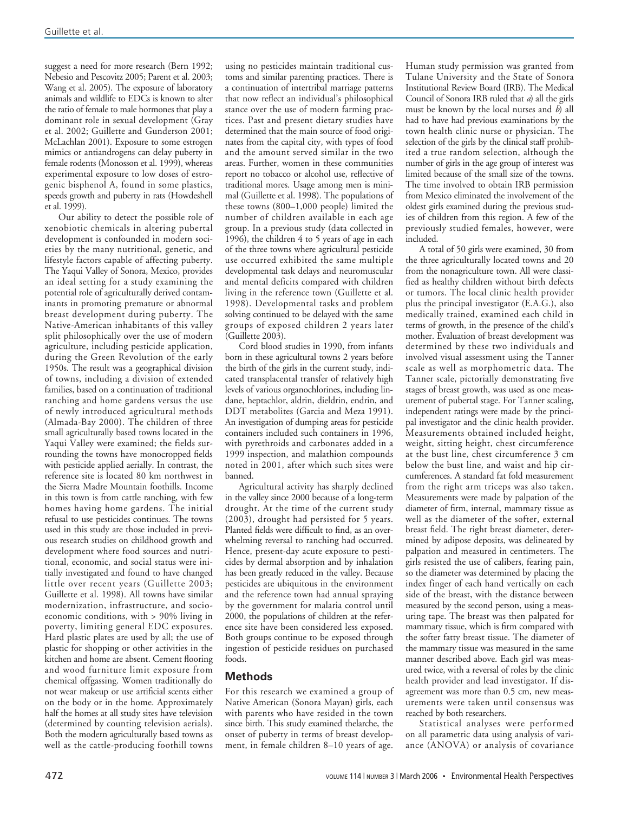suggest a need for more research (Bern 1992; Nebesio and Pescovitz 2005; Parent et al. 2003; Wang et al. 2005). The exposure of laboratory animals and wildlife to EDCs is known to alter the ratio of female to male hormones that play a dominant role in sexual development (Gray et al. 2002; Guillette and Gunderson 2001; McLachlan 2001). Exposure to some estrogen mimics or antiandrogens can delay puberty in female rodents (Monosson et al. 1999), whereas experimental exposure to low doses of estrogenic bisphenol A, found in some plastics, speeds growth and puberty in rats (Howdeshell et al. 1999).

Our ability to detect the possible role of xenobiotic chemicals in altering pubertal development is confounded in modern societies by the many nutritional, genetic, and lifestyle factors capable of affecting puberty. The Yaqui Valley of Sonora, Mexico, provides an ideal setting for a study examining the potential role of agriculturally derived contaminants in promoting premature or abnormal breast development during puberty. The Native-American inhabitants of this valley split philosophically over the use of modern agriculture, including pesticide application, during the Green Revolution of the early 1950s. The result was a geographical division of towns, including a division of extended families, based on a continuation of traditional ranching and home gardens versus the use of newly introduced agricultural methods (Almada-Bay 2000). The children of three small agriculturally based towns located in the Yaqui Valley were examined; the fields surrounding the towns have monocropped fields with pesticide applied aerially. In contrast, the reference site is located 80 km northwest in the Sierra Madre Mountain foothills. Income in this town is from cattle ranching, with few homes having home gardens. The initial refusal to use pesticides continues. The towns used in this study are those included in previous research studies on childhood growth and development where food sources and nutritional, economic, and social status were initially investigated and found to have changed little over recent years (Guillette 2003; Guillette et al. 1998). All towns have similar modernization, infrastructure, and socioeconomic conditions, with > 90% living in poverty, limiting general EDC exposures. Hard plastic plates are used by all; the use of plastic for shopping or other activities in the kitchen and home are absent. Cement flooring and wood furniture limit exposure from chemical offgassing. Women traditionally do not wear makeup or use artificial scents either on the body or in the home. Approximately half the homes at all study sites have television (determined by counting television aerials). Both the modern agriculturally based towns as well as the cattle-producing foothill towns

using no pesticides maintain traditional customs and similar parenting practices. There is a continuation of intertribal marriage patterns that now reflect an individual's philosophical stance over the use of modern farming practices. Past and present dietary studies have determined that the main source of food originates from the capital city, with types of food and the amount served similar in the two areas. Further, women in these communities report no tobacco or alcohol use, reflective of traditional mores. Usage among men is minimal (Guillette et al. 1998). The populations of these towns (800–1,000 people) limited the number of children available in each age group. In a previous study (data collected in 1996), the children 4 to 5 years of age in each of the three towns where agricultural pesticide use occurred exhibited the same multiple developmental task delays and neuromuscular and mental deficits compared with children living in the reference town (Guillette et al. 1998). Developmental tasks and problem solving continued to be delayed with the same groups of exposed children 2 years later (Guillette 2003).

Cord blood studies in 1990, from infants born in these agricultural towns 2 years before the birth of the girls in the current study, indicated transplacental transfer of relatively high levels of various organochlorines, including lindane, heptachlor, aldrin, dieldrin, endrin, and DDT metabolites (Garcia and Meza 1991). An investigation of dumping areas for pesticide containers included such containers in 1996, with pyrethroids and carbonates added in a 1999 inspection, and malathion compounds noted in 2001, after which such sites were banned.

Agricultural activity has sharply declined in the valley since 2000 because of a long-term drought. At the time of the current study (2003), drought had persisted for 5 years. Planted fields were difficult to find, as an overwhelming reversal to ranching had occurred. Hence, present-day acute exposure to pesticides by dermal absorption and by inhalation has been greatly reduced in the valley. Because pesticides are ubiquitous in the environment and the reference town had annual spraying by the government for malaria control until 2000, the populations of children at the reference site have been considered less exposed. Both groups continue to be exposed through ingestion of pesticide residues on purchased foods.

## **Methods**

For this research we examined a group of Native American (Sonora Mayan) girls, each with parents who have resided in the town since birth. This study examined thelarche, the onset of puberty in terms of breast development, in female children 8–10 years of age.

Human study permission was granted from Tulane University and the State of Sonora Institutional Review Board (IRB). The Medical Council of Sonora IRB ruled that *a*) all the girls must be known by the local nurses and *b*) all had to have had previous examinations by the town health clinic nurse or physician. The selection of the girls by the clinical staff prohibited a true random selection, although the number of girls in the age group of interest was limited because of the small size of the towns. The time involved to obtain IRB permission from Mexico eliminated the involvement of the oldest girls examined during the previous studies of children from this region. A few of the previously studied females, however, were included.

A total of 50 girls were examined, 30 from the three agriculturally located towns and 20 from the nonagriculture town. All were classified as healthy children without birth defects or tumors. The local clinic health provider plus the principal investigator (E.A.G.), also medically trained, examined each child in terms of growth, in the presence of the child's mother. Evaluation of breast development was determined by these two individuals and involved visual assessment using the Tanner scale as well as morphometric data. The Tanner scale, pictorially demonstrating five stages of breast growth, was used as one measurement of pubertal stage. For Tanner scaling, independent ratings were made by the principal investigator and the clinic health provider. Measurements obtained included height, weight, sitting height, chest circumference at the bust line, chest circumference 3 cm below the bust line, and waist and hip circumferences. A standard fat fold measurement from the right arm triceps was also taken. Measurements were made by palpation of the diameter of firm, internal, mammary tissue as well as the diameter of the softer, external breast field. The right breast diameter, determined by adipose deposits, was delineated by palpation and measured in centimeters. The girls resisted the use of calibers, fearing pain, so the diameter was determined by placing the index finger of each hand vertically on each side of the breast, with the distance between measured by the second person, using a measuring tape. The breast was then palpated for mammary tissue, which is firm compared with the softer fatty breast tissue. The diameter of the mammary tissue was measured in the same manner described above. Each girl was measured twice, with a reversal of roles by the clinic health provider and lead investigator. If disagreement was more than 0.5 cm, new measurements were taken until consensus was reached by both researchers.

Statistical analyses were performed on all parametric data using analysis of variance (ANOVA) or analysis of covariance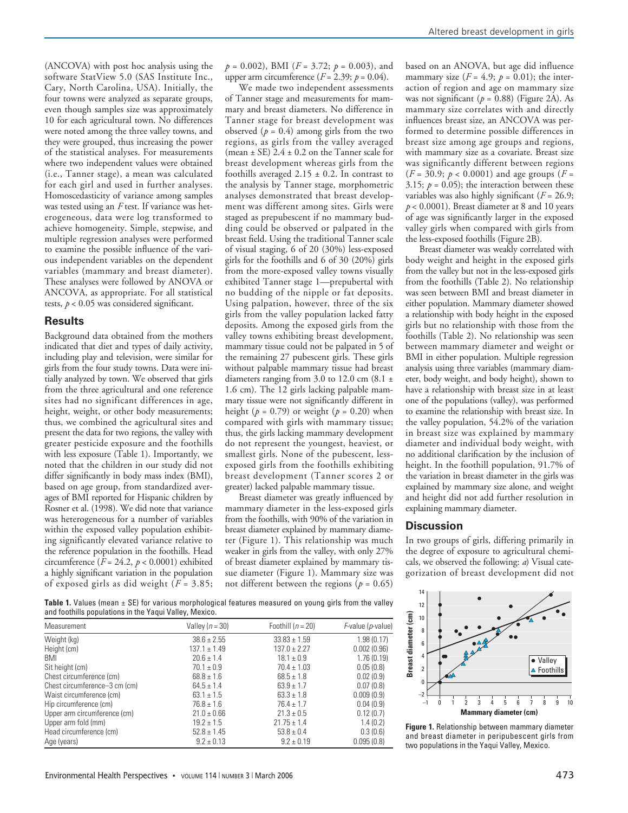(ANCOVA) with post hoc analysis using the software StatView 5.0 (SAS Institute Inc., Cary, North Carolina, USA). Initially, the four towns were analyzed as separate groups, even though samples size was approximately 10 for each agricultural town. No differences were noted among the three valley towns, and they were grouped, thus increasing the power of the statistical analyses. For measurements where two independent values were obtained (i.e., Tanner stage), a mean was calculated for each girl and used in further analyses. Homoscedasticity of variance among samples was tested using an *F* test. If variance was heterogeneous, data were log transformed to achieve homogeneity. Simple, stepwise, and multiple regression analyses were performed to examine the possible influence of the various independent variables on the dependent variables (mammary and breast diameter). These analyses were followed by ANOVA or ANCOVA, as appropriate. For all statistical tests,  $p < 0.05$  was considered significant.

### **Results**

Background data obtained from the mothers indicated that diet and types of daily activity, including play and television, were similar for girls from the four study towns. Data were initially analyzed by town. We observed that girls from the three agricultural and one reference sites had no significant differences in age, height, weight, or other body measurements; thus, we combined the agricultural sites and present the data for two regions, the valley with greater pesticide exposure and the foothills with less exposure (Table 1). Importantly, we noted that the children in our study did not differ significantly in body mass index (BMI), based on age group, from standardized averages of BMI reported for Hispanic children by Rosner et al. (1998). We did note that variance was heterogeneous for a number of variables within the exposed valley population exhibiting significantly elevated variance relative to the reference population in the foothills. Head circumference  $(F = 24.2, p < 0.0001)$  exhibited a highly significant variation in the population of exposed girls as did weight (*F* = 3.85; *p* = 0.002), BMI (*F* = 3.72; *p* = 0.003), and upper arm circumference  $(F = 2.39; p = 0.04)$ .

We made two independent assessments of Tanner stage and measurements for mammary and breast diameters. No difference in Tanner stage for breast development was observed  $(p = 0.4)$  among girls from the two regions, as girls from the valley averaged (mean  $\pm$  SE) 2.4  $\pm$  0.2 on the Tanner scale for breast development whereas girls from the foothills averaged  $2.15 \pm 0.2$ . In contrast to the analysis by Tanner stage, morphometric analyses demonstrated that breast development was different among sites. Girls were staged as prepubescent if no mammary budding could be observed or palpated in the breast field. Using the traditional Tanner scale of visual staging, 6 of 20 (30%) less-exposed girls for the foothills and 6 of 30 (20%) girls from the more-exposed valley towns visually exhibited Tanner stage 1—prepubertal with no budding of the nipple or fat deposits. Using palpation, however, three of the six girls from the valley population lacked fatty deposits. Among the exposed girls from the valley towns exhibiting breast development, mammary tissue could not be palpated in 5 of the remaining 27 pubescent girls. These girls without palpable mammary tissue had breast diameters ranging from 3.0 to 12.0 cm  $(8.1 \pm$ 1.6 cm). The 12 girls lacking palpable mammary tissue were not significantly different in height ( $p = 0.79$ ) or weight ( $p = 0.20$ ) when compared with girls with mammary tissue; thus, the girls lacking mammary development do not represent the youngest, heaviest, or smallest girls. None of the pubescent, lessexposed girls from the foothills exhibiting breast development (Tanner scores 2 or greater) lacked palpable mammary tissue.

Breast diameter was greatly influenced by mammary diameter in the less-exposed girls from the foothills, with 90% of the variation in breast diameter explained by mammary diameter (Figure 1). This relationship was much weaker in girls from the valley, with only 27% of breast diameter explained by mammary tissue diameter (Figure 1). Mammary size was not different between the regions ( $p = 0.65$ ) based on an ANOVA, but age did influence mammary size  $(F = 4.9; p = 0.01)$ ; the interaction of region and age on mammary size was not significant ( $p = 0.88$ ) (Figure 2A). As mammary size correlates with and directly influences breast size, an ANCOVA was performed to determine possible differences in breast size among age groups and regions, with mammary size as a covariate. Breast size was significantly different between regions  $(F = 30.9; p < 0.0001)$  and age groups  $(F =$ 3.15;  $p = 0.05$ ); the interaction between these variables was also highly significant (*F* = 26.9;  $p < 0.0001$ ). Breast diameter at 8 and 10 years of age was significantly larger in the exposed valley girls when compared with girls from the less-exposed foothills (Figure 2B).

Breast diameter was weakly correlated with body weight and height in the exposed girls from the valley but not in the less-exposed girls from the foothills (Table 2). No relationship was seen between BMI and breast diameter in either population. Mammary diameter showed a relationship with body height in the exposed girls but no relationship with those from the foothills (Table 2). No relationship was seen between mammary diameter and weight or BMI in either population. Multiple regression analysis using three variables (mammary diameter, body weight, and body height), shown to have a relationship with breast size in at least one of the populations (valley), was performed to examine the relationship with breast size. In the valley population, 54.2% of the variation in breast size was explained by mammary diameter and individual body weight, with no additional clarification by the inclusion of height. In the foothill population, 91.7% of the variation in breast diameter in the girls was explained by mammary size alone, and weight and height did not add further resolution in explaining mammary diameter.

## **Discussion**

In two groups of girls, differing primarily in the degree of exposure to agricultural chemicals, we observed the following: *a*) Visual categorization of breast development did not

Table 1. Values (mean  $\pm$  SE) for various morphological features measured on young girls from the valley and foothills populations in the Yaqui Valley, Mexico.

| Measurement                   | Valley ( $n = 30$ ) | Foothill $(n = 20)$ | $F$ -value ( $p$ -value) |  |
|-------------------------------|---------------------|---------------------|--------------------------|--|
| Weight (kg)                   | $38.6 \pm 2.55$     | $33.83 \pm 1.59$    | 1.98(0.17)               |  |
| Height (cm)                   | $137.1 \pm 1.49$    | $137.0 \pm 2.27$    | 0.002(0.96)              |  |
| BMI                           | $20.6 \pm 1.4$      | $18.1 \pm 0.9$      | 1.76(0.19)               |  |
| Sit height (cm)               | $70.1 \pm 0.9$      | $70.4 \pm 1.03$     | 0.05(0.8)                |  |
| Chest circumference (cm)      | $68.8 \pm 1.6$      | $68.5 \pm 1.8$      | 0.02(0.9)                |  |
| Chest circumference-3 cm (cm) | $64.5 \pm 1.4$      | $63.9 \pm 1.7$      | 0.07(0.8)                |  |
| Waist circumference (cm)      | $63.1 \pm 1.5$      | $63.3 \pm 1.8$      | 0.009(0.9)               |  |
| Hip circumference (cm)        | $76.8 \pm 1.6$      | $76.4 \pm 1.7$      | 0.04(0.9)                |  |
| Upper arm circumference (cm)  | $21.0 \pm 0.66$     | $21.3 \pm 0.5$      | 0.12(0.7)                |  |
| Upper arm fold (mm)           | $19.2 \pm 1.5$      | $21.75 \pm 1.4$     | 1.4(0.2)                 |  |
| Head circumference (cm)       | $52.8 \pm 1.45$     | $53.8 \pm 0.4$      | 0.3(0.6)                 |  |
| Age (years)                   | $9.2 \pm 0.13$      | $9.2 \pm 0.19$      | 0.095(0.8)               |  |



**Figure 1.** Relationship between mammary diameter and breast diameter in peripubescent girls from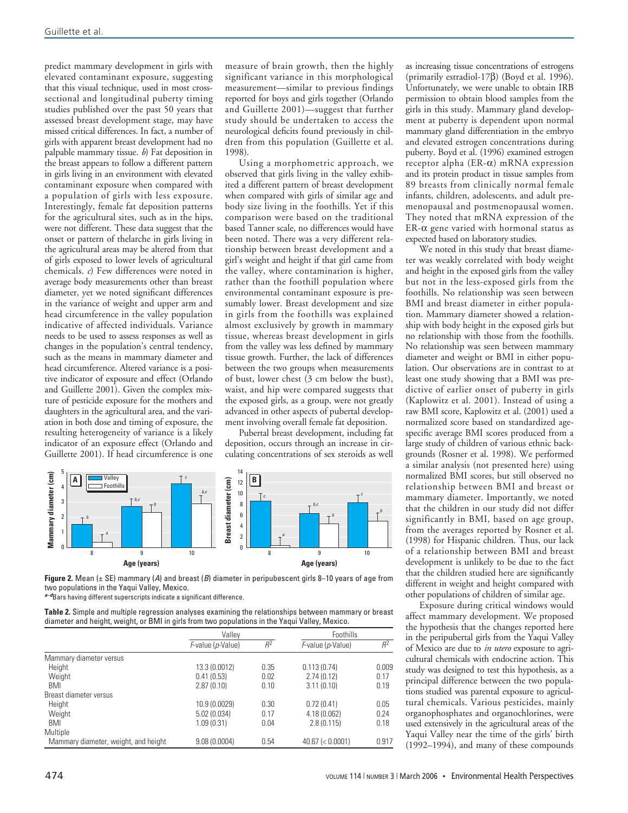predict mammary development in girls with elevated contaminant exposure, suggesting that this visual technique, used in most crosssectional and longitudinal puberty timing studies published over the past 50 years that assessed breast development stage, may have missed critical differences. In fact, a number of girls with apparent breast development had no palpable mammary tissue. *b*) Fat deposition in the breast appears to follow a different pattern in girls living in an environment with elevated contaminant exposure when compared with a population of girls with less exposure. Interestingly, female fat deposition patterns for the agricultural sites, such as in the hips, were not different. These data suggest that the onset or pattern of thelarche in girls living in the agricultural areas may be altered from that of girls exposed to lower levels of agricultural chemicals. *c*) Few differences were noted in average body measurements other than breast diameter, yet we noted significant differences in the variance of weight and upper arm and head circumference in the valley population indicative of affected individuals. Variance needs to be used to assess responses as well as changes in the population's central tendency, such as the means in mammary diameter and head circumference. Altered variance is a positive indicator of exposure and effect (Orlando and Guillette 2001). Given the complex mixture of pesticide exposure for the mothers and daughters in the agricultural area, and the variation in both dose and timing of exposure, the resulting heterogeneity of variance is a likely indicator of an exposure effect (Orlando and Guillette 2001). If head circumference is one

measure of brain growth, then the highly significant variance in this morphological measurement—similar to previous findings reported for boys and girls together (Orlando and Guillette 2001)—suggest that further study should be undertaken to access the neurological deficits found previously in children from this population (Guillette et al. 1998).

Using a morphometric approach, we observed that girls living in the valley exhibited a different pattern of breast development when compared with girls of similar age and body size living in the foothills. Yet if this comparison were based on the traditional based Tanner scale, no differences would have been noted. There was a very different relationship between breast development and a girl's weight and height if that girl came from the valley, where contamination is higher, rather than the foothill population where environmental contaminant exposure is presumably lower. Breast development and size in girls from the foothills was explained almost exclusively by growth in mammary tissue, whereas breast development in girls from the valley was less defined by mammary tissue growth. Further, the lack of differences between the two groups when measurements of bust, lower chest (3 cm below the bust), waist, and hip were compared suggests that the exposed girls, as a group, were not greatly advanced in other aspects of pubertal development involving overall female fat deposition.

Pubertal breast development, including fat deposition, occurs through an increase in circulating concentrations of sex steroids as well



**Figure 2.** Mean (± SE) mammary (A) and breast (B) diameter in peripubescent girls 8-10 years of age from two populations in the Yaqui Valley, Mexico.

**a–d**Bars having different superscripts indicate a significant difference.

**Table 2.** Simple and multiple regression analyses examining the relationships between mammary or breast diameter and height, weight, or BMI in girls from two populations in the Yaqui Valley, Mexico.

|                                      | Vallev            |       | Foothills                |       |
|--------------------------------------|-------------------|-------|--------------------------|-------|
|                                      | F-value (p-Value) | $R^2$ | $F$ -value ( $p$ -Value) | $R^2$ |
| Mammary diameter versus              |                   |       |                          |       |
| Height                               | 13.3 (0.0012)     | 0.35  | 0.113(0.74)              | 0.009 |
| Weight                               | 0.41(0.53)        | 0.02  | 2.74(0.12)               | 0.17  |
| BMI                                  | 2.87(0.10)        | 0.10  | 3.11(0.10)               | 0.19  |
| Breast diameter versus               |                   |       |                          |       |
| Height                               | 10.9 (0.0029)     | 0.30  | 0.72(0.41)               | 0.05  |
| Weight                               | 5.02(0.034)       | 0.17  | 4.18 (0.062)             | 0.24  |
| <b>BMI</b>                           | 1.09(0.31)        | 0.04  | 2.8(0.115)               | 0.18  |
| Multiple                             |                   |       |                          |       |
| Mammary diameter, weight, and height | 9.08(0.0004)      | 0.54  | $40.67 (0.0001)$         | 0.917 |

as increasing tissue concentrations of estrogens (primarily estradiol-17β) (Boyd et al. 1996). Unfortunately, we were unable to obtain IRB permission to obtain blood samples from the girls in this study. Mammary gland development at puberty is dependent upon normal mammary gland differentiation in the embryo and elevated estrogen concentrations during puberty. Boyd et al. (1996) examined estrogen receptor alpha (ER-α) mRNA expression and its protein product in tissue samples from 89 breasts from clinically normal female infants, children, adolescents, and adult premenopausal and postmenopausal women. They noted that mRNA expression of the ER- $\alpha$  gene varied with hormonal status as expected based on laboratory studies.

We noted in this study that breast diameter was weakly correlated with body weight and height in the exposed girls from the valley but not in the less-exposed girls from the foothills. No relationship was seen between BMI and breast diameter in either population. Mammary diameter showed a relationship with body height in the exposed girls but no relationship with those from the foothills. No relationship was seen between mammary diameter and weight or BMI in either population. Our observations are in contrast to at least one study showing that a BMI was predictive of earlier onset of puberty in girls (Kaplowitz et al. 2001). Instead of using a raw BMI score, Kaplowitz et al. (2001) used a normalized score based on standardized agespecific average BMI scores produced from a large study of children of various ethnic backgrounds (Rosner et al. 1998). We performed a similar analysis (not presented here) using normalized BMI scores, but still observed no relationship between BMI and breast or mammary diameter. Importantly, we noted that the children in our study did not differ significantly in BMI, based on age group, from the averages reported by Rosner et al. (1998) for Hispanic children. Thus, our lack of a relationship between BMI and breast development is unlikely to be due to the fact that the children studied here are significantly different in weight and height compared with other populations of children of similar age.

Exposure during critical windows would affect mammary development. We proposed the hypothesis that the changes reported here in the peripubertal girls from the Yaqui Valley of Mexico are due to *in utero* exposure to agricultural chemicals with endocrine action. This study was designed to test this hypothesis, as a principal difference between the two populations studied was parental exposure to agricultural chemicals. Various pesticides, mainly organophosphates and organochlorines, were used extensively in the agricultural areas of the Yaqui Valley near the time of the girls' birth (1992–1994), and many of these compounds